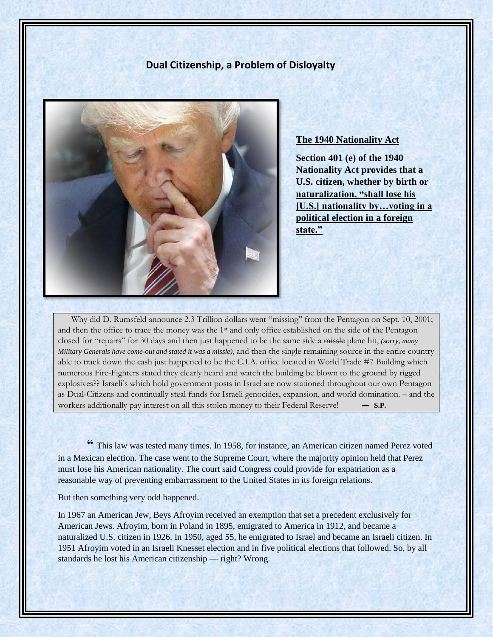# **Dual Citizenship, a Problem of Disloyalty**



## **The 1940 Nationality Act**

**Section 401 (e) of the 1940 Nationality Act provides that a U.S. citizen, whether by birth or naturalization, "shall lose his [U.S.] nationality by…voting in a political election in a foreign state."**

 Why did D. Rumsfeld announce 2.3 Trillion dollars went "missing" from the Pentagon on Sept. 10, 2001; and then the office to trace the money was the 1st and only office established on the side of the Pentagon closed for "repairs" for 30 days and then just happened to be the same side a missle plane hit, *(sorry, many Military Generals have come-out and stated it was a missle),* and then the single remaining source in the entire country able to track down the cash just happened to be the C.I.A. office located in World Trade #7 Building which numerous Fire-Fighters stated they clearly heard and watch the building be blown to the ground by rigged explosives?? Israeli's which hold government posts in Israel are now stationed throughout our own Pentagon as Dual-Citizens and continually steal funds for Israeli genocides, expansion, and world domination. – and the workers additionally pay interest on all this stolen money to their Federal Reserve!  $\qquad - \text{S.P.}$ 

**"** This law was tested many times. In 1958, for instance, an American citizen named Perez voted in a Mexican election. The case went to the Supreme Court, where the majority opinion held that Perez must lose his American nationality. The court said Congress could provide for expatriation as a reasonable way of preventing embarrassment to the United States in its foreign relations.

But then something very odd happened.

In 1967 an American Jew, Beys Afroyim received an exemption that set a precedent exclusively for American Jews. Afroyim, born in Poland in 1895, emigrated to America in 1912, and became a naturalized U.S. citizen in 1926. In 1950, aged 55, he emigrated to Israel and became an Israeli citizen. In 1951 Afroyim voted in an Israeli Knesset election and in five political elections that followed. So, by all standards he lost his American citizenship — right? Wrong.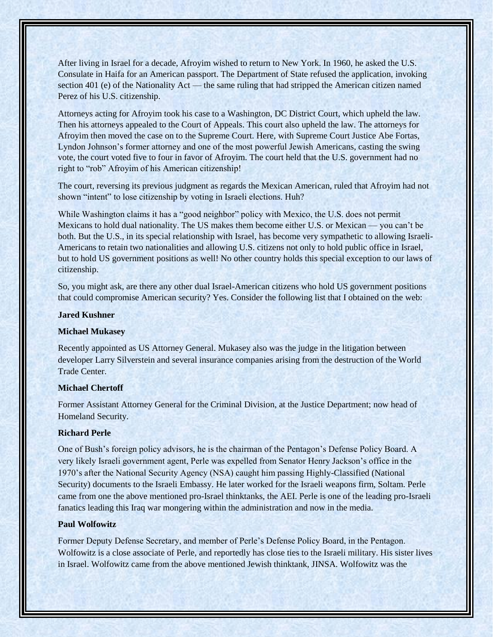After living in Israel for a decade, Afroyim wished to return to New York. In 1960, he asked the U.S. Consulate in Haifa for an American passport. The Department of State refused the application, invoking section 401 (e) of the Nationality Act — the same ruling that had stripped the American citizen named Perez of his U.S. citizenship.

Attorneys acting for Afroyim took his case to a Washington, DC District Court, which upheld the law. Then his attorneys appealed to the Court of Appeals. This court also upheld the law. The attorneys for Afroyim then moved the case on to the Supreme Court. Here, with Supreme Court Justice Abe Fortas, Lyndon Johnson's former attorney and one of the most powerful Jewish Americans, casting the swing vote, the court voted five to four in favor of Afroyim. The court held that the U.S. government had no right to "rob" Afroyim of his American citizenship!

The court, reversing its previous judgment as regards the Mexican American, ruled that Afroyim had not shown "intent" to lose citizenship by voting in Israeli elections. Huh?

While Washington claims it has a "good neighbor" policy with Mexico, the U.S. does not permit Mexicans to hold dual nationality. The US makes them become either U.S. or Mexican — you can't be both. But the U.S., in its special relationship with Israel, has become very sympathetic to allowing Israeli-Americans to retain two nationalities and allowing U.S. citizens not only to hold public office in Israel, but to hold US government positions as well! No other country holds this special exception to our laws of citizenship.

So, you might ask, are there any other dual Israel-American citizens who hold US government positions that could compromise American security? Yes. Consider the following list that I obtained on the web:

### **Jared Kushner**

#### **Michael Mukasey**

Recently appointed as US Attorney General. Mukasey also was the judge in the litigation between developer Larry Silverstein and several insurance companies arising from the destruction of the World Trade Center.

#### **Michael Chertoff**

Former Assistant Attorney General for the Criminal Division, at the Justice Department; now head of Homeland Security.

#### **Richard Perle**

One of Bush's foreign policy advisors, he is the chairman of the Pentagon's Defense Policy Board. A very likely Israeli government agent, Perle was expelled from Senator Henry Jackson's office in the 1970's after the National Security Agency (NSA) caught him passing Highly-Classified (National Security) documents to the Israeli Embassy. He later worked for the Israeli weapons firm, Soltam. Perle came from one the above mentioned pro-Israel thinktanks, the AEI. Perle is one of the leading pro-Israeli fanatics leading this Iraq war mongering within the administration and now in the media.

#### **Paul Wolfowitz**

Former Deputy Defense Secretary, and member of Perle's Defense Policy Board, in the Pentagon. Wolfowitz is a close associate of Perle, and reportedly has close ties to the Israeli military. His sister lives in Israel. Wolfowitz came from the above mentioned Jewish thinktank, JINSA. Wolfowitz was the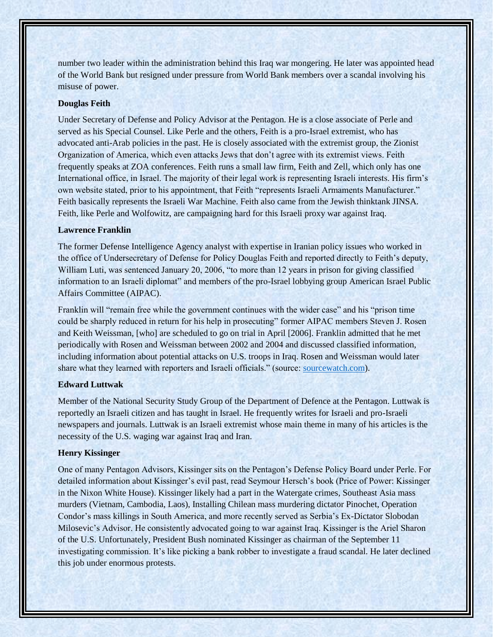number two leader within the administration behind this Iraq war mongering. He later was appointed head of the World Bank but resigned under pressure from World Bank members over a scandal involving his misuse of power.

### **Douglas Feith**

Under Secretary of Defense and Policy Advisor at the Pentagon. He is a close associate of Perle and served as his Special Counsel. Like Perle and the others, Feith is a pro-Israel extremist, who has advocated anti-Arab policies in the past. He is closely associated with the extremist group, the Zionist Organization of America, which even attacks Jews that don't agree with its extremist views. Feith frequently speaks at ZOA conferences. Feith runs a small law firm, Feith and Zell, which only has one International office, in Israel. The majority of their legal work is representing Israeli interests. His firm's own website stated, prior to his appointment, that Feith "represents Israeli Armaments Manufacturer." Feith basically represents the Israeli War Machine. Feith also came from the Jewish thinktank JINSA. Feith, like Perle and Wolfowitz, are campaigning hard for this Israeli proxy war against Iraq.

## **Lawrence Franklin**

The former Defense Intelligence Agency analyst with expertise in Iranian policy issues who worked in the office of Undersecretary of Defense for Policy Douglas Feith and reported directly to Feith's deputy, William Luti, was sentenced January 20, 2006, "to more than 12 years in prison for giving classified information to an Israeli diplomat" and members of the pro-Israel lobbying group American Israel Public Affairs Committee (AIPAC).

Franklin will "remain free while the government continues with the wider case" and his "prison time could be sharply reduced in return for his help in prosecuting" former AIPAC members Steven J. Rosen and Keith Weissman, [who] are scheduled to go on trial in April [2006]. Franklin admitted that he met periodically with Rosen and Weissman between 2002 and 2004 and discussed classified information, including information about potential attacks on U.S. troops in Iraq. Rosen and Weissman would later share what they learned with reporters and Israeli officials." (source: [sourcewatch.com\)](https://l.facebook.com/l.php?u=http%3A%2F%2Fsourcewatch.com%2F%3Ffbclid%3DIwAR3jQwj8ih5rWI0zVrlHqeG-yCipTRU2YF3a83857OfrruUPnb-6_g51HCE&h=AT1d31Jr9CCKWPRE9gh6802FlqZZyF_SZZETQ26mZXSypnWKmWU27ysUAg_jY7sv2xjqAkxBGRl2hs_BvtMSB_UPQ_d2n7wGAMWAYQ1-a9h3pxJ7ImF9WKxzsnIrzuaQfpvXsKahiBqPJLpaca0).

## **Edward Luttwak**

Member of the National Security Study Group of the Department of Defence at the Pentagon. Luttwak is reportedly an Israeli citizen and has taught in Israel. He frequently writes for Israeli and pro-Israeli newspapers and journals. Luttwak is an Israeli extremist whose main theme in many of his articles is the necessity of the U.S. waging war against Iraq and Iran.

### **Henry Kissinger**

One of many Pentagon Advisors, Kissinger sits on the Pentagon's Defense Policy Board under Perle. For detailed information about Kissinger's evil past, read Seymour Hersch's book (Price of Power: Kissinger in the Nixon White House). Kissinger likely had a part in the Watergate crimes, Southeast Asia mass murders (Vietnam, Cambodia, Laos), Installing Chilean mass murdering dictator Pinochet, Operation Condor's mass killings in South America, and more recently served as Serbia's Ex-Dictator Slobodan Milosevic's Advisor. He consistently advocated going to war against Iraq. Kissinger is the Ariel Sharon of the U.S. Unfortunately, President Bush nominated Kissinger as chairman of the September 11 investigating commission. It's like picking a bank robber to investigate a fraud scandal. He later declined this job under enormous protests.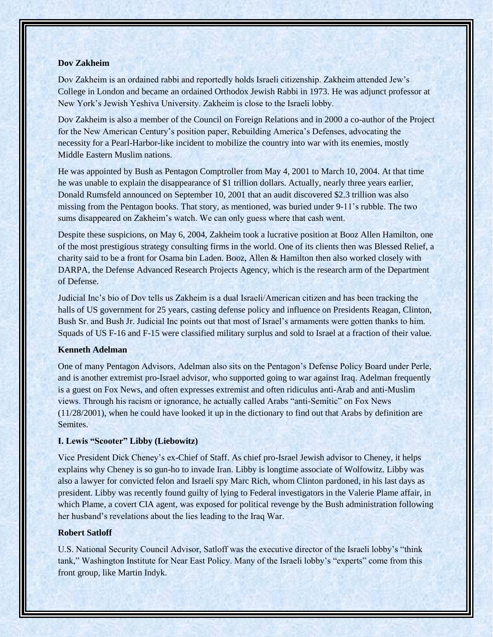### **Dov Zakheim**

Dov Zakheim is an ordained rabbi and reportedly holds Israeli citizenship. Zakheim attended Jew's College in London and became an ordained Orthodox Jewish Rabbi in 1973. He was adjunct professor at New York's Jewish Yeshiva University. Zakheim is close to the Israeli lobby.

Dov Zakheim is also a member of the Council on Foreign Relations and in 2000 a co-author of the Project for the New American Century's position paper, Rebuilding America's Defenses, advocating the necessity for a Pearl-Harbor-like incident to mobilize the country into war with its enemies, mostly Middle Eastern Muslim nations.

He was appointed by Bush as Pentagon Comptroller from May 4, 2001 to March 10, 2004. At that time he was unable to explain the disappearance of \$1 trillion dollars. Actually, nearly three years earlier, Donald Rumsfeld announced on September 10, 2001 that an audit discovered \$2.3 trillion was also missing from the Pentagon books. That story, as mentioned, was buried under 9-11's rubble. The two sums disappeared on Zakheim's watch. We can only guess where that cash went.

Despite these suspicions, on May 6, 2004, Zakheim took a lucrative position at Booz Allen Hamilton, one of the most prestigious strategy consulting firms in the world. One of its clients then was Blessed Relief, a charity said to be a front for Osama bin Laden. Booz, Allen & Hamilton then also worked closely with DARPA, the Defense Advanced Research Projects Agency, which is the research arm of the Department of Defense.

Judicial Inc's bio of Dov tells us Zakheim is a dual Israeli/American citizen and has been tracking the halls of US government for 25 years, casting defense policy and influence on Presidents Reagan, Clinton, Bush Sr. and Bush Jr. Judicial Inc points out that most of Israel's armaments were gotten thanks to him. Squads of US F-16 and F-15 were classified military surplus and sold to Israel at a fraction of their value.

#### **Kenneth Adelman**

One of many Pentagon Advisors, Adelman also sits on the Pentagon's Defense Policy Board under Perle, and is another extremist pro-Israel advisor, who supported going to war against Iraq. Adelman frequently is a guest on Fox News, and often expresses extremist and often ridiculus anti-Arab and anti-Muslim views. Through his racism or ignorance, he actually called Arabs "anti-Semitic" on Fox News (11/28/2001), when he could have looked it up in the dictionary to find out that Arabs by definition are Semites.

#### **I. Lewis "Scooter" Libby (Liebowitz)**

Vice President Dick Cheney's ex-Chief of Staff. As chief pro-Israel Jewish advisor to Cheney, it helps explains why Cheney is so gun-ho to invade Iran. Libby is longtime associate of Wolfowitz. Libby was also a lawyer for convicted felon and Israeli spy Marc Rich, whom Clinton pardoned, in his last days as president. Libby was recently found guilty of lying to Federal investigators in the Valerie Plame affair, in which Plame, a covert CIA agent, was exposed for political revenge by the Bush administration following her husband's revelations about the lies leading to the Iraq War.

## **Robert Satloff**

U.S. National Security Council Advisor, Satloff was the executive director of the Israeli lobby's "think tank," Washington Institute for Near East Policy. Many of the Israeli lobby's "experts" come from this front group, like Martin Indyk.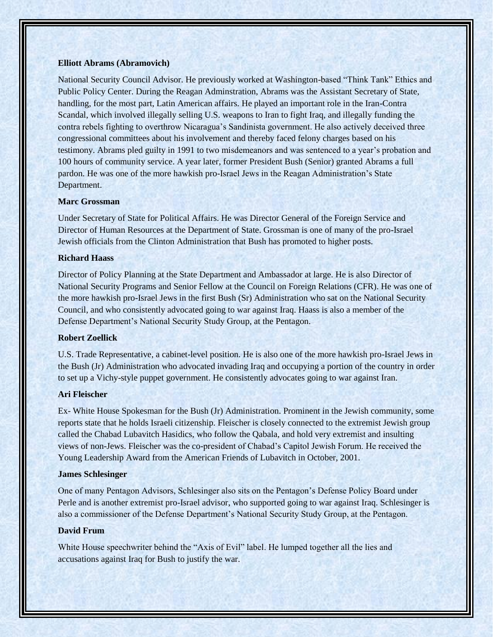### **Elliott Abrams (Abramovich)**

National Security Council Advisor. He previously worked at Washington-based "Think Tank" Ethics and Public Policy Center. During the Reagan Adminstration, Abrams was the Assistant Secretary of State, handling, for the most part, Latin American affairs. He played an important role in the Iran-Contra Scandal, which involved illegally selling U.S. weapons to Iran to fight Iraq, and illegally funding the contra rebels fighting to overthrow Nicaragua's Sandinista government. He also actively deceived three congressional committees about his involvement and thereby faced felony charges based on his testimony. Abrams pled guilty in 1991 to two misdemeanors and was sentenced to a year's probation and 100 hours of community service. A year later, former President Bush (Senior) granted Abrams a full pardon. He was one of the more hawkish pro-Israel Jews in the Reagan Administration's State Department.

### **Marc Grossman**

Under Secretary of State for Political Affairs. He was Director General of the Foreign Service and Director of Human Resources at the Department of State. Grossman is one of many of the pro-Israel Jewish officials from the Clinton Administration that Bush has promoted to higher posts.

## **Richard Haass**

Director of Policy Planning at the State Department and Ambassador at large. He is also Director of National Security Programs and Senior Fellow at the Council on Foreign Relations (CFR). He was one of the more hawkish pro-Israel Jews in the first Bush (Sr) Administration who sat on the National Security Council, and who consistently advocated going to war against Iraq. Haass is also a member of the Defense Department's National Security Study Group, at the Pentagon.

### **Robert Zoellick**

U.S. Trade Representative, a cabinet-level position. He is also one of the more hawkish pro-Israel Jews in the Bush (Jr) Administration who advocated invading Iraq and occupying a portion of the country in order to set up a Vichy-style puppet government. He consistently advocates going to war against Iran.

### **Ari Fleischer**

Ex- White House Spokesman for the Bush (Jr) Administration. Prominent in the Jewish community, some reports state that he holds Israeli citizenship. Fleischer is closely connected to the extremist Jewish group called the Chabad Lubavitch Hasidics, who follow the Qabala, and hold very extremist and insulting views of non-Jews. Fleischer was the co-president of Chabad's Capitol Jewish Forum. He received the Young Leadership Award from the American Friends of Lubavitch in October, 2001.

#### **James Schlesinger**

One of many Pentagon Advisors, Schlesinger also sits on the Pentagon's Defense Policy Board under Perle and is another extremist pro-Israel advisor, who supported going to war against Iraq. Schlesinger is also a commissioner of the Defense Department's National Security Study Group, at the Pentagon.

## **David Frum**

White House speechwriter behind the "Axis of Evil" label. He lumped together all the lies and accusations against Iraq for Bush to justify the war.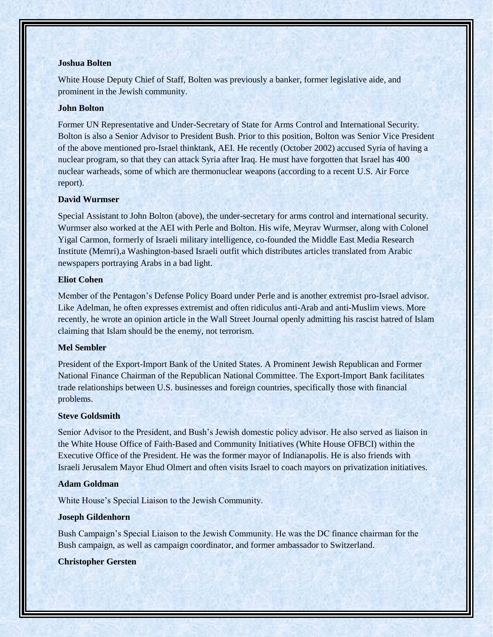#### **Joshua Bolten**

White House Deputy Chief of Staff, Bolten was previously a banker, former legislative aide, and prominent in the Jewish community.

### **John Bolton**

Former UN Representative and Under-Secretary of State for Arms Control and International Security. Bolton is also a Senior Advisor to President Bush. Prior to this position, Bolton was Senior Vice President of the above mentioned pro-Israel thinktank, AEI. He recently (October 2002) accused Syria of having a nuclear program, so that they can attack Syria after Iraq. He must have forgotten that Israel has 400 nuclear warheads, some of which are thermonuclear weapons (according to a recent U.S. Air Force report).

### **David Wurmser**

Special Assistant to John Bolton (above), the under-secretary for arms control and international security. Wurmser also worked at the AEI with Perle and Bolton. His wife, Meyrav Wurmser, along with Colonel Yigal Carmon, formerly of Israeli military intelligence, co-founded the Middle East Media Research Institute (Memri),a Washington-based Israeli outfit which distributes articles translated from Arabic newspapers portraying Arabs in a bad light.

## **Eliot Cohen**

Member of the Pentagon's Defense Policy Board under Perle and is another extremist pro-Israel advisor. Like Adelman, he often expresses extremist and often ridiculus anti-Arab and anti-Muslim views. More recently, he wrote an opinion article in the Wall Street Journal openly admitting his rascist hatred of Islam claiming that Islam should be the enemy, not terrorism.

### **Mel Sembler**

President of the Export-Import Bank of the United States. A Prominent Jewish Republican and Former National Finance Chairman of the Republican National Committee. The Export-Import Bank facilitates trade relationships between U.S. businesses and foreign countries, specifically those with financial problems.

## **Steve Goldsmith**

Senior Advisor to the President, and Bush's Jewish domestic policy advisor. He also served as liaison in the White House Office of Faith-Based and Community Initiatives (White House OFBCI) within the Executive Office of the President. He was the former mayor of Indianapolis. He is also friends with Israeli Jerusalem Mayor Ehud Olmert and often visits Israel to coach mayors on privatization initiatives.

### **Adam Goldman**

White House's Special Liaison to the Jewish Community.

## **Joseph Gildenhorn**

Bush Campaign's Special Liaison to the Jewish Community. He was the DC finance chairman for the Bush campaign, as well as campaign coordinator, and former ambassador to Switzerland.

## **Christopher Gersten**